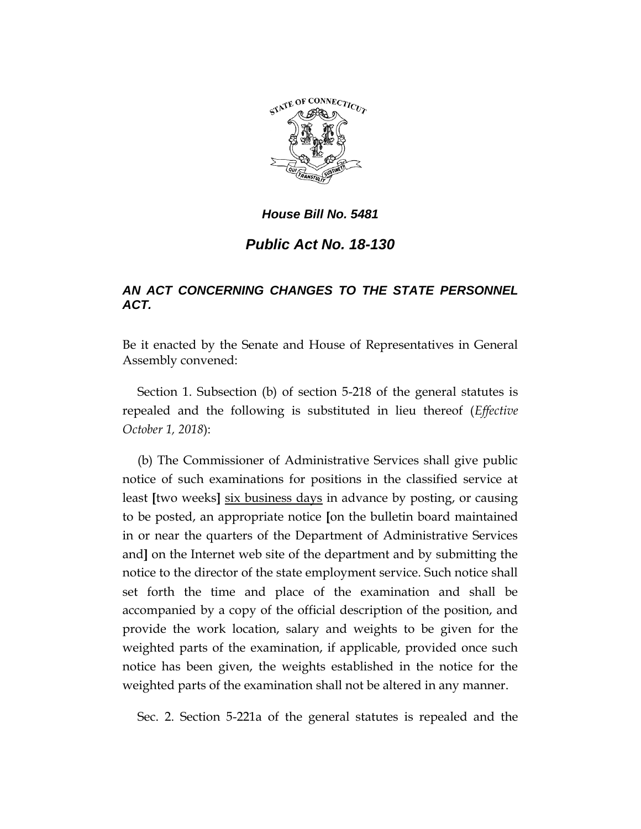

## *House Bill No. 5481*

## *Public Act No. 18-130*

## *AN ACT CONCERNING CHANGES TO THE STATE PERSONNEL ACT.*

Be it enacted by the Senate and House of Representatives in General Assembly convened:

Section 1. Subsection (b) of section 5-218 of the general statutes is repealed and the following is substituted in lieu thereof (*Effective October 1, 2018*):

(b) The Commissioner of Administrative Services shall give public notice of such examinations for positions in the classified service at least **[**two weeks**]** six business days in advance by posting, or causing to be posted, an appropriate notice **[**on the bulletin board maintained in or near the quarters of the Department of Administrative Services and**]** on the Internet web site of the department and by submitting the notice to the director of the state employment service. Such notice shall set forth the time and place of the examination and shall be accompanied by a copy of the official description of the position, and provide the work location, salary and weights to be given for the weighted parts of the examination, if applicable, provided once such notice has been given, the weights established in the notice for the weighted parts of the examination shall not be altered in any manner.

Sec. 2. Section 5-221a of the general statutes is repealed and the